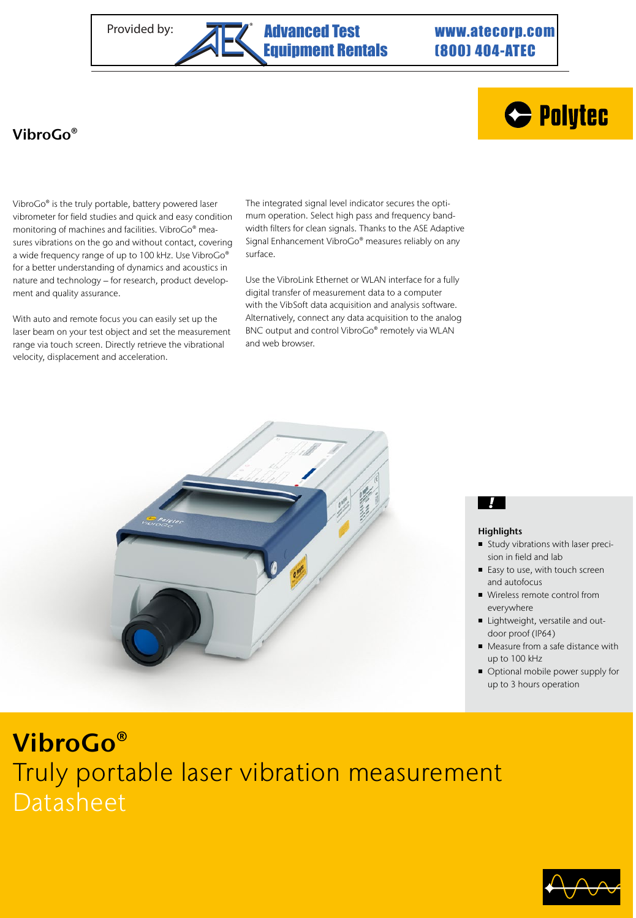# (800) 404-ATEC



## VibroGo®

VibroGo® is the truly portable, battery powered laser vibrometer for field studies and quick and easy condition monitoring of machines and facilities. VibroGo® measures vibrations on the go and without contact, covering a wide frequency range of up to 100 kHz. Use VibroGo® for a better understanding of dynamics and acoustics in nature and technology – for research, product development and quality assurance.

With auto and remote focus you can easily set up the laser beam on your test object and set the measurement range via touch screen. Directly retrieve the vibrational velocity, displacement and acceleration.

The integrated signal level indicator secures the optimum operation. Select high pass and frequency bandwidth filters for clean signals. Thanks to the ASE Adaptive Signal Enhancement VibroGo® measures reliably on any surface.

Use the VibroLink Ethernet or WLAN interface for a fully digital transfer of measurement data to a computer with the VibSoft data acquisition and analysis software. Alternatively, connect any data acquisition to the analog BNC output and control VibroGo® remotely via WLAN and web browser.



## $\mathcal{L}$

### **Highlights**

- Study vibrations with laser precision in field and lab
- Easy to use, with touch screen and autofocus
- Wireless remote control from everywhere
- Lightweight, versatile and outdoor proof (IP64)
- Measure from a safe distance with up to 100 kHz
- Optional mobile power supply for up to 3 hours operation

# VibroGo® Truly portable laser vibration measurement Datasheet

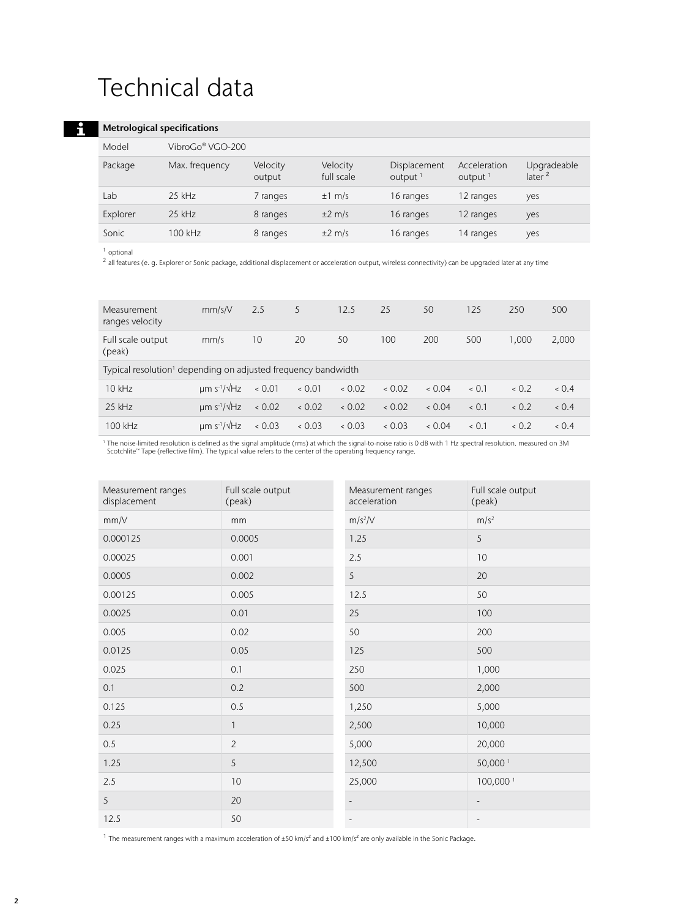# Technical data

### Metrological specifications

| men ological specifications |                  |                    |                        |                            |                            |                                   |
|-----------------------------|------------------|--------------------|------------------------|----------------------------|----------------------------|-----------------------------------|
| Model                       | VibroGo® VGO-200 |                    |                        |                            |                            |                                   |
| Package                     | Max. frequency   | Velocity<br>output | Velocity<br>full scale | Displacement<br>output $1$ | Acceleration<br>output $1$ | Upgradeable<br>later <sup>2</sup> |
| Lab                         | $25$ kHz         | 7 ranges           | $±1$ m/s               | 16 ranges                  | 12 ranges                  | yes                               |
| Explorer                    | $25$ kHz         | 8 ranges           | $\pm 2$ m/s            | 16 ranges                  | 12 ranges                  | yes                               |
| Sonic                       | $100$ kHz        | 8 ranges           | $\pm 2$ m/s            | 16 ranges                  | 14 ranges                  | yes                               |
|                             |                  |                    |                        |                            |                            |                                   |

<sup>1</sup> optional

 $\mathbf{f}$ 

<sup>2</sup> all features (e. g. Explorer or Sonic package, additional displacement or acceleration output, wireless connectivity) can be upgraded later at any time

| Measurement<br>ranges velocity                                            | mm/s/V                                | 2.5  | 5    | 12.5 | 25   | 50   | 125 | 250   | 500   |
|---------------------------------------------------------------------------|---------------------------------------|------|------|------|------|------|-----|-------|-------|
| Full scale output<br>(peak)                                               | mm/s                                  | 10   | 20   | 50   | 100  | 200  | 500 | 1.000 | 2,000 |
| Typical resolution <sup>1</sup> depending on adjusted frequency bandwidth |                                       |      |      |      |      |      |     |       |       |
| $10$ kHz                                                                  | $um s^{-1}/\sqrt{Hz}$                 | 0.01 | 0.01 | 0.02 | 0.02 | 0.04 | 0.1 | 0.2   | 0.4   |
| $25$ kHz                                                                  | $um s^{-1}/\sqrt{Hz}$                 | 0.02 | 0.02 | 0.02 | 0.02 | 0.04 | 0.1 | 0.2   | 0.4   |
| 100 kHz                                                                   | $\mu$ m s <sup>-1</sup> / $\sqrt{Hz}$ | 0.03 | 0.03 | 0.03 | 0.03 | 0.04 | 0.1 | 0.2   | 0.4   |

' The noise-limited resolution is defined as the signal amplitude (rms) at which the signal-to-noise ratio is 0 dB with 1 Hz spectral resolution. measured on 3M<br>Scotchlite™ Tape (reflective film). The typical value refers

| Measurement ranges<br>displacement | Full scale output<br>(peak) | Measurement ranges<br>acceleration | Full scale output<br>(peak) |
|------------------------------------|-----------------------------|------------------------------------|-----------------------------|
| mm/V                               | mm                          | $m/s^2/V$                          | m/s <sup>2</sup>            |
| 0.000125                           | 0.0005                      | 1.25                               | 5                           |
| 0.00025                            | 0.001                       | 2.5                                | 10                          |
| 0.0005                             | 0.002                       | 5                                  | 20                          |
| 0.00125                            | 0.005                       | 12.5                               | 50                          |
| 0.0025                             | 0.01                        | 25                                 | 100                         |
| 0.005                              | 0.02                        | 50                                 | 200                         |
| 0.0125                             | 0.05                        | 125                                | 500                         |
| 0.025                              | 0.1                         | 250                                | 1,000                       |
| 0.1                                | 0.2                         | 500                                | 2,000                       |
| 0.125                              | 0.5                         | 1,250                              | 5,000                       |
| 0.25                               | $\mathbf{1}$                | 2,500                              | 10,000                      |
| 0.5                                | $\overline{2}$              | 5,000                              | 20,000                      |
| 1.25                               | 5                           | 12,500                             | 50,000 <sup>1</sup>         |
| 2.5                                | 10                          | 25,000                             | 100,000 <sup>1</sup>        |
| 5                                  | 20                          | $\overline{\phantom{a}}$           |                             |
| 12.5                               | 50                          | $\overline{\phantom{a}}$           | $\overline{\phantom{a}}$    |

<sup>1</sup> The measurement ranges with a maximum acceleration of ±50 km/s<sup>2</sup> and ±100 km/s<sup>2</sup> are only available in the Sonic Package.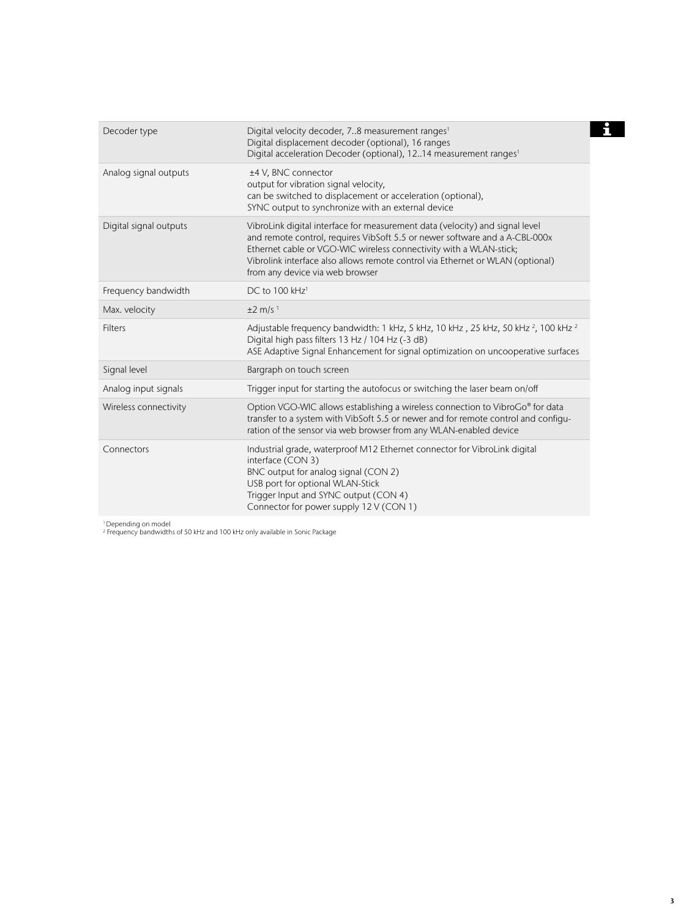| Decoder type           | Digital velocity decoder, 78 measurement ranges <sup>1</sup><br>Digital displacement decoder (optional), 16 ranges<br>Digital acceleration Decoder (optional), 1214 measurement ranges <sup>1</sup>                                                                                                                                                    |
|------------------------|--------------------------------------------------------------------------------------------------------------------------------------------------------------------------------------------------------------------------------------------------------------------------------------------------------------------------------------------------------|
| Analog signal outputs  | ±4 V, BNC connector<br>output for vibration signal velocity,<br>can be switched to displacement or acceleration (optional),<br>SYNC output to synchronize with an external device                                                                                                                                                                      |
| Digital signal outputs | VibroLink digital interface for measurement data (velocity) and signal level<br>and remote control, requires VibSoft 5.5 or newer software and a A-CBL-000x<br>Ethernet cable or VGO-WIC wireless connectivity with a WLAN-stick;<br>Vibrolink interface also allows remote control via Ethernet or WLAN (optional)<br>from any device via web browser |
| Frequency bandwidth    | DC to 100 kHz <sup>1</sup>                                                                                                                                                                                                                                                                                                                             |
| Max. velocity          | $±2$ m/s <sup>1</sup>                                                                                                                                                                                                                                                                                                                                  |
| <b>Filters</b>         | Adjustable frequency bandwidth: 1 kHz, 5 kHz, 10 kHz, 25 kHz, 50 kHz <sup>2</sup> , 100 kHz <sup>2</sup><br>Digital high pass filters 13 Hz / 104 Hz (-3 dB)<br>ASE Adaptive Signal Enhancement for signal optimization on uncooperative surfaces                                                                                                      |
| Signal level           | Bargraph on touch screen                                                                                                                                                                                                                                                                                                                               |
| Analog input signals   | Trigger input for starting the autofocus or switching the laser beam on/off                                                                                                                                                                                                                                                                            |
| Wireless connectivity  | Option VGO-WIC allows establishing a wireless connection to VibroGo® for data<br>transfer to a system with VibSoft 5.5 or newer and for remote control and configu-<br>ration of the sensor via web browser from any WLAN-enabled device                                                                                                               |
| Connectors             | Industrial grade, waterproof M12 Ethernet connector for VibroLink digital<br>interface (CON 3)<br>BNC output for analog signal (CON 2)<br>USB port for optional WLAN-Stick<br>Trigger Input and SYNC output (CON 4)<br>Connector for power supply 12 V (CON 1)                                                                                         |

1 Depending on model 2 Frequency bandwidths of 50 kHz and 100 kHz only available in Sonic Package

## $\mathbf{H}$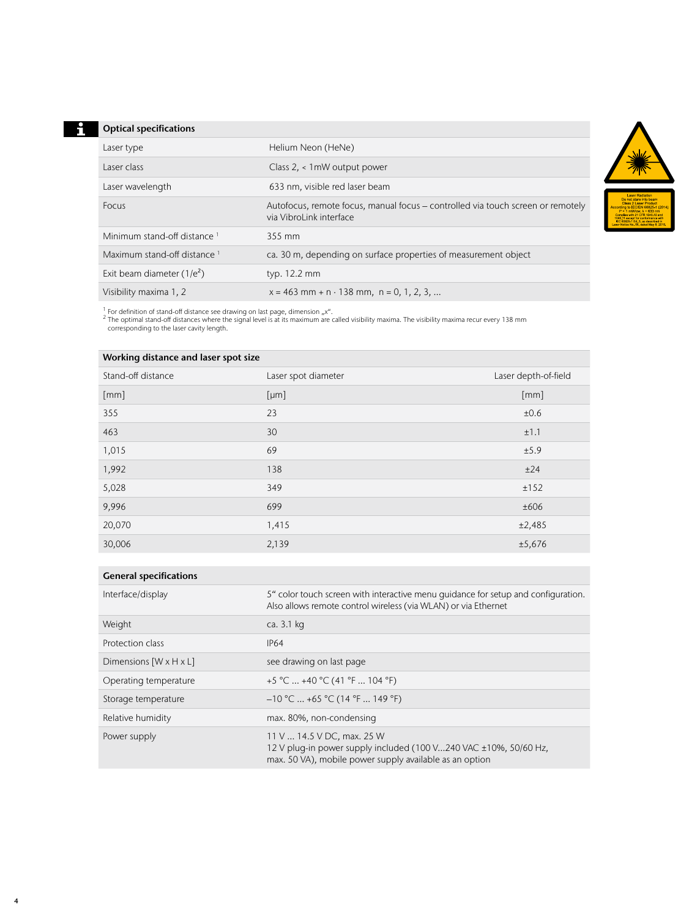### **Optical specifications**

| Laser type                   | Helium Neon (HeNe)                                                                                         |
|------------------------------|------------------------------------------------------------------------------------------------------------|
| Laser class                  | Class 2, < 1mW output power                                                                                |
| Laser wavelength             | 633 nm, visible red laser beam                                                                             |
| Focus                        | Autofocus, remote focus, manual focus – controlled via touch screen or remotely<br>via VibroLink interface |
| Minimum stand-off distance 1 | 355 mm                                                                                                     |
| Maximum stand-off distance 1 | ca. 30 m, depending on surface properties of measurement object                                            |
| Exit beam diameter $(1/e^2)$ | typ. 12.2 mm                                                                                               |
| Visibility maxima 1, 2       | $x = 463$ mm + n · 138 mm, n = 0, 1, 2, 3,                                                                 |

<sup>1</sup> For definition of stand-off distance see drawing on last page, dimension "x".<br><sup>2</sup> The optimal stand-off distances where the signal level is at its maximum are called visibility maxima. The visibility maxima recur every

| Working distance and laser spot size |                     |                      |  |  |
|--------------------------------------|---------------------|----------------------|--|--|
| Stand-off distance                   | Laser spot diameter | Laser depth-of-field |  |  |
| $\lceil mm \rceil$                   | [µm]                | [mm]                 |  |  |
| 355                                  | 23                  | ±0.6                 |  |  |
| 463                                  | 30                  | ±1.1                 |  |  |
| 1,015                                | 69                  | ±5.9                 |  |  |
| 1,992                                | 138                 | ±24                  |  |  |
| 5,028                                | 349                 | ±152                 |  |  |
| 9,996                                | 699                 | ±606                 |  |  |
| 20,070                               | 1,415               | ±2,485               |  |  |
| 30,006                               | 2,139               | ±5,676               |  |  |
|                                      |                     |                      |  |  |

|  | <b>General specifications</b> |
|--|-------------------------------|
|--|-------------------------------|

| Interface/display                  | 5" color touch screen with interactive menu guidance for setup and configuration.<br>Also allows remote control wireless (via WLAN) or via Ethernet       |
|------------------------------------|-----------------------------------------------------------------------------------------------------------------------------------------------------------|
| Weight                             | ca. 3.1 kg                                                                                                                                                |
| Protection class                   | IP64                                                                                                                                                      |
| Dimensions $[W \times H \times L]$ | see drawing on last page                                                                                                                                  |
| Operating temperature              | +5 °C  +40 °C (41 °F  104 °F)                                                                                                                             |
| Storage temperature                | $-10$ °C $\ldots$ +65 °C (14 °F $\ldots$ 149 °F)                                                                                                          |
| Relative humidity                  | max. 80%, non-condensing                                                                                                                                  |
| Power supply                       | 11 V  14.5 V DC, max. 25 W<br>12 V plug-in power supply included (100 V240 VAC ±10%, 50/60 Hz,<br>max. 50 VA), mobile power supply available as an option |

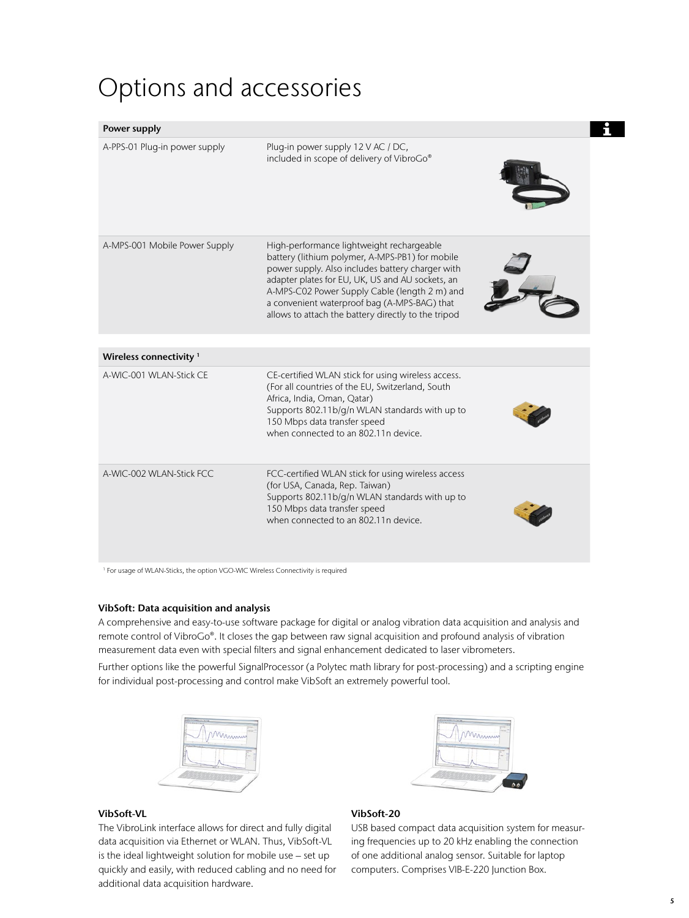## Options and accessories

| Power supply                       |                                                                                                                                                                                                                                                                                                                                                              |  |
|------------------------------------|--------------------------------------------------------------------------------------------------------------------------------------------------------------------------------------------------------------------------------------------------------------------------------------------------------------------------------------------------------------|--|
| A-PPS-01 Plug-in power supply      | Plug-in power supply 12 V AC / DC,<br>included in scope of delivery of VibroGo®                                                                                                                                                                                                                                                                              |  |
| A-MPS-001 Mobile Power Supply      | High-performance lightweight rechargeable<br>battery (lithium polymer, A-MPS-PB1) for mobile<br>power supply. Also includes battery charger with<br>adapter plates for EU, UK, US and AU sockets, an<br>A-MPS-C02 Power Supply Cable (length 2 m) and<br>a convenient waterproof bag (A-MPS-BAG) that<br>allows to attach the battery directly to the tripod |  |
| Wireless connectivity <sup>1</sup> |                                                                                                                                                                                                                                                                                                                                                              |  |
| A-WIC-001 WI AN-Stick CF           | CE-certified WLAN stick for using wireless access.<br>(For all countries of the EU, Switzerland, South<br>Africa, India, Oman, Qatar)<br>Supports 802.11b/g/n WLAN standards with up to<br>150 Mbps data transfer speed<br>when connected to an 802.11n device.                                                                                              |  |
| A-WIC-002 WLAN-Stick FCC           | FCC-certified WLAN stick for using wireless access<br>(for USA, Canada, Rep. Taiwan)<br>Supports 802.11b/g/n WLAN standards with up to<br>150 Mbps data transfer speed<br>when connected to an 802.11n device.                                                                                                                                               |  |

<sup>1</sup> For usage of WLAN-Sticks, the option VGO-WIC Wireless Connectivity is required

#### VibSoft: Data acquisition and analysis

A comprehensive and easy-to-use software package for digital or analog vibration data acquisition and analysis and remote control of VibroGo®. It closes the gap between raw signal acquisition and profound analysis of vibration measurement data even with special filters and signal enhancement dedicated to laser vibrometers.

Further options like the powerful SignalProcessor (a Polytec math library for post-processing) and a scripting engine for individual post-processing and control make VibSoft an extremely powerful tool.





#### VibSoft-VL

The VibroLink interface allows for direct and fully digital data acquisition via Ethernet or WLAN. Thus, VibSoft-VL is the ideal lightweight solution for mobile use – set up quickly and easily, with reduced cabling and no need for additional data acquisition hardware.

#### VibSoft-20

USB based compact data acquisition system for measuring frequencies up to 20 kHz enabling the connection of one additional analog sensor. Suitable for laptop computers. Comprises VIB-E-220 Junction Box.

 $\mathbf{f}$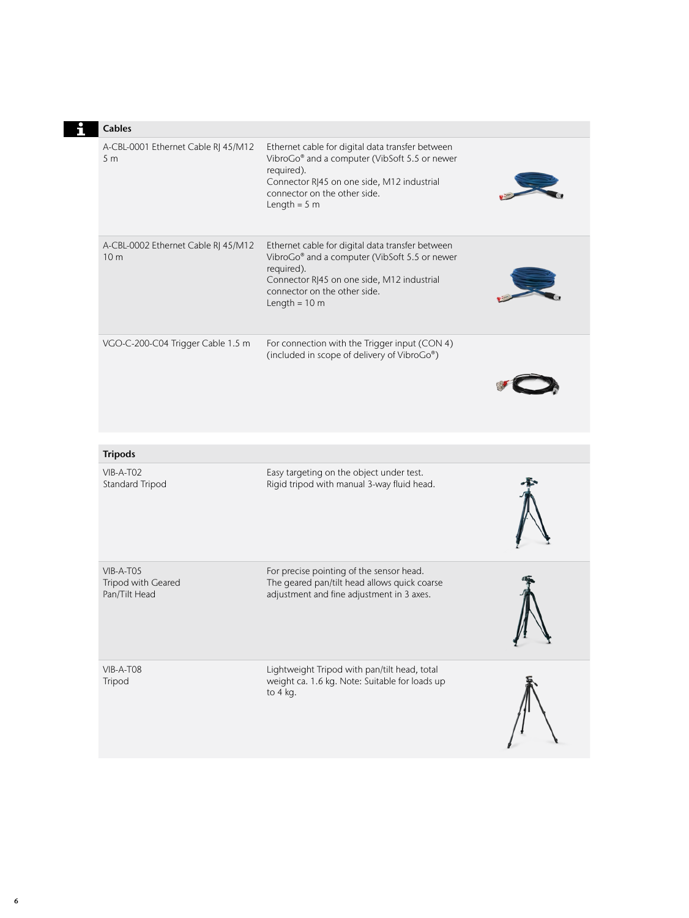| <b>Cables</b>                                          |                                                                                                                                                                                                                          |  |
|--------------------------------------------------------|--------------------------------------------------------------------------------------------------------------------------------------------------------------------------------------------------------------------------|--|
| A-CBL-0001 Ethernet Cable RJ 45/M12<br>5 <sub>m</sub>  | Ethernet cable for digital data transfer between<br>VibroGo® and a computer (VibSoft 5.5 or newer<br>required).<br>Connector RJ45 on one side, M12 industrial<br>connector on the other side.<br>Length = $5 m$          |  |
| A-CBL-0002 Ethernet Cable RJ 45/M12<br>10 <sub>m</sub> | Ethernet cable for digital data transfer between<br>VibroGo® and a computer (VibSoft 5.5 or newer<br>required).<br>Connector RJ45 on one side, M12 industrial<br>connector on the other side.<br>Length = $10 \text{ m}$ |  |
| VGO-C-200-C04 Trigger Cable 1.5 m                      | For connection with the Trigger input (CON 4)<br>(included in scope of delivery of VibroGo®)                                                                                                                             |  |
| <b>Tripods</b>                                         |                                                                                                                                                                                                                          |  |
| VIB-A-T02<br>Standard Tripod                           | Easy targeting on the object under test.<br>Rigid tripod with manual 3-way fluid head.                                                                                                                                   |  |
| $VIB-A-TO5$<br>Tripod with Geared<br>Pan/Tilt Head     | For precise pointing of the sensor head.<br>The geared pan/tilt head allows quick coarse<br>adjustment and fine adjustment in 3 axes.                                                                                    |  |
| VIB-A-T08<br>Tripod                                    | Lightweight Tripod with pan/tilt head, total<br>weight ca. 1.6 kg. Note: Suitable for loads up<br>to 4 kg.                                                                                                               |  |

## **Ei**

6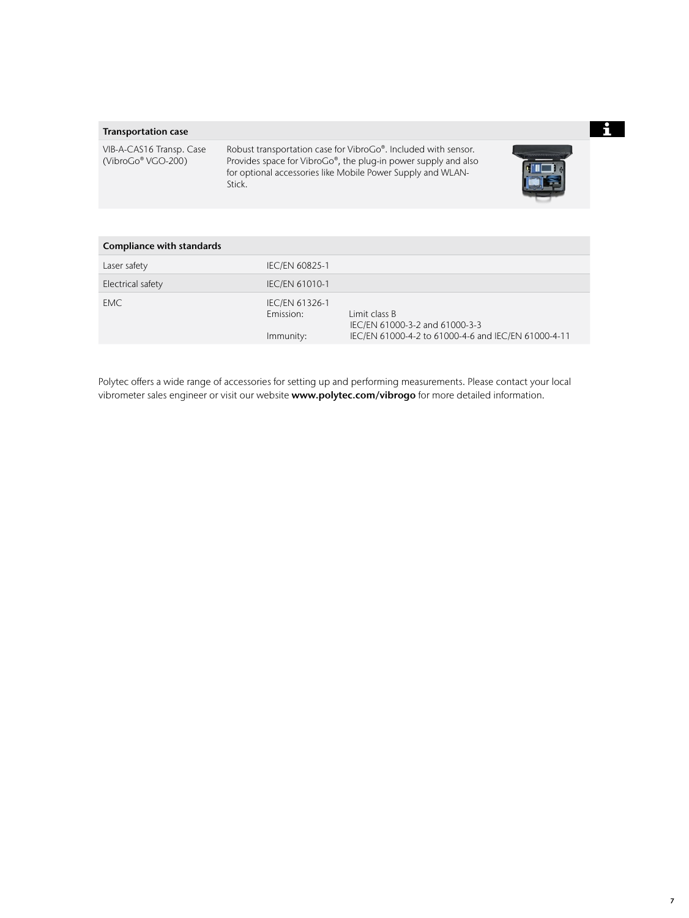### Transportation case

VIB-A-CAS16 Transp. Case (VibroGo® VGO-200)

Robust transportation case for VibroGo®. Included with sensor. Provides space for VibroGo®, the plug-in power supply and also for optional accessories like Mobile Power Supply and WLAN-Stick.



| Compliance with standards |                                          |                                                                                                        |  |  |  |
|---------------------------|------------------------------------------|--------------------------------------------------------------------------------------------------------|--|--|--|
| Laser safety              | <b>IEC/EN 60825-1</b>                    |                                                                                                        |  |  |  |
| Electrical safety         | <b>IEC/EN 61010-1</b>                    |                                                                                                        |  |  |  |
| EMC.                      | IEC/EN 61326-1<br>Emission:<br>Immunity: | Limit class B<br>IEC/EN 61000-3-2 and 61000-3-3<br>IEC/EN 61000-4-2 to 61000-4-6 and IEC/EN 61000-4-11 |  |  |  |

Polytec offers a wide range of accessories for setting up and performing measurements. Please contact your local vibrometer sales engineer or visit our website www.polytec.com/vibrogo for more detailed information.

 $\mathbf{i}$